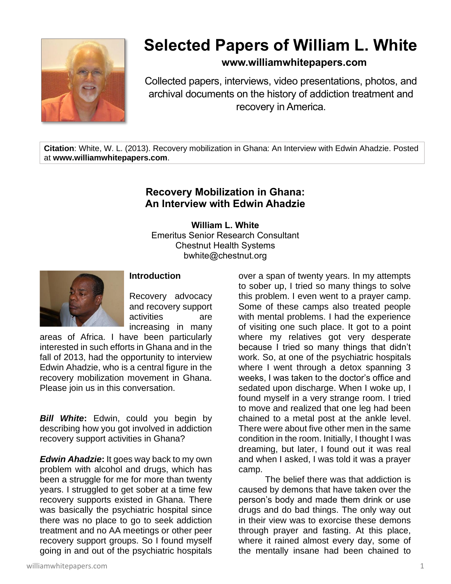

## **Selected Papers of William L. White**

## **www.williamwhitepapers.com**

Collected papers, interviews, video presentations, photos, and archival documents on the history of addiction treatment and recovery in America.

**Citation**: White, W. L. (2013). Recovery mobilization in Ghana: An Interview with Edwin Ahadzie. Posted at **www.williamwhitepapers.com**.

## **Recovery Mobilization in Ghana: An Interview with Edwin Ahadzie**

**William L. White** Emeritus Senior Research Consultant Chestnut Health Systems bwhite@chestnut.org



## **Introduction**

Recovery advocacy and recovery support activities are increasing in many

areas of Africa. I have been particularly interested in such efforts in Ghana and in the fall of 2013, had the opportunity to interview Edwin Ahadzie, who is a central figure in the recovery mobilization movement in Ghana. Please join us in this conversation.

*Bill White***:** Edwin, could you begin by describing how you got involved in addiction recovery support activities in Ghana?

*Edwin Ahadzie***:** It goes way back to my own problem with alcohol and drugs, which has been a struggle for me for more than twenty years. I struggled to get sober at a time few recovery supports existed in Ghana. There was basically the psychiatric hospital since there was no place to go to seek addiction treatment and no AA meetings or other peer recovery support groups. So I found myself going in and out of the psychiatric hospitals

over a span of twenty years. In my attempts to sober up, I tried so many things to solve this problem. I even went to a prayer camp. Some of these camps also treated people with mental problems. I had the experience of visiting one such place. It got to a point where my relatives got very desperate because I tried so many things that didn't work. So, at one of the psychiatric hospitals where I went through a detox spanning 3 weeks, I was taken to the doctor's office and sedated upon discharge. When I woke up, I found myself in a very strange room. I tried to move and realized that one leg had been chained to a metal post at the ankle level. There were about five other men in the same condition in the room. Initially, I thought I was dreaming, but later, I found out it was real and when I asked, I was told it was a prayer camp.

The belief there was that addiction is caused by demons that have taken over the person's body and made them drink or use drugs and do bad things. The only way out in their view was to exorcise these demons through prayer and fasting. At this place, where it rained almost every day, some of the mentally insane had been chained to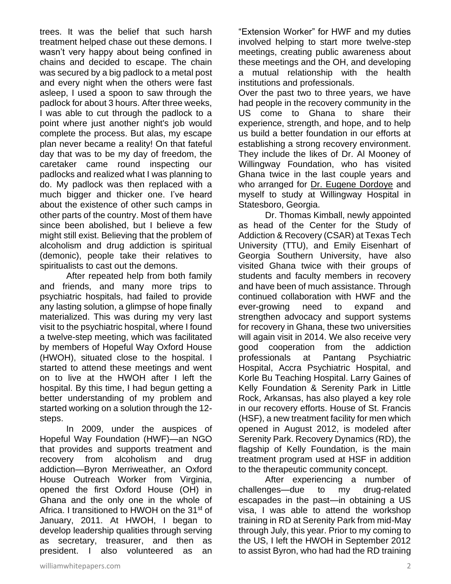trees. It was the belief that such harsh treatment helped chase out these demons. I wasn't very happy about being confined in chains and decided to escape. The chain was secured by a big padlock to a metal post and every night when the others were fast asleep, I used a spoon to saw through the padlock for about 3 hours. After three weeks, I was able to cut through the padlock to a point where just another night's job would complete the process. But alas, my escape plan never became a reality! On that fateful day that was to be my day of freedom, the caretaker came round inspecting our padlocks and realized what I was planning to do. My padlock was then replaced with a much bigger and thicker one. I've heard about the existence of other such camps in other parts of the country. Most of them have since been abolished, but I believe a few might still exist. Believing that the problem of alcoholism and drug addiction is spiritual (demonic), people take their relatives to spiritualists to cast out the demons.

After repeated help from both family and friends, and many more trips to psychiatric hospitals, had failed to provide any lasting solution, a glimpse of hope finally materialized. This was during my very last visit to the psychiatric hospital, where I found a twelve-step meeting, which was facilitated by members of Hopeful Way Oxford House (HWOH), situated close to the hospital. I started to attend these meetings and went on to live at the HWOH after I left the hospital. By this time, I had begun getting a better understanding of my problem and started working on a solution through the 12 steps.

In 2009, under the auspices of Hopeful Way Foundation (HWF)—an NGO that provides and supports treatment and recovery from alcoholism and drug addiction—Byron Merriweather, an Oxford House Outreach Worker from Virginia, opened the first Oxford House (OH) in Ghana and the only one in the whole of Africa. I transitioned to HWOH on the 31<sup>st</sup> of January, 2011. At HWOH, I began to develop leadership qualities through serving as secretary, treasurer, and then as president. I also volunteered as an

"Extension Worker" for HWF and my duties involved helping to start more twelve-step meetings, creating public awareness about these meetings and the OH, and developing a mutual relationship with the health institutions and professionals.

Over the past two to three years, we have had people in the recovery community in the US come to Ghana to share their experience, strength, and hope, and to help us build a better foundation in our efforts at establishing a strong recovery environment. They include the likes of Dr. Al Mooney of Willingway Foundation, who has visited Ghana twice in the last couple years and who arranged for [Dr. Eugene Dordoye](http://www.williamwhitepapers.com/pr/2012%20Ghana%2C%20Dr.%20Eugene%20Dordoye.pdf) and myself to study at Willingway Hospital in Statesboro, Georgia.

Dr. Thomas Kimball, newly appointed as head of the Center for the Study of Addiction & Recovery (CSAR) at Texas Tech University (TTU), and Emily Eisenhart of Georgia Southern University, have also visited Ghana twice with their groups of students and faculty members in recovery and have been of much assistance. Through continued collaboration with HWF and the ever-growing need to expand and strengthen advocacy and support systems for recovery in Ghana, these two universities will again visit in 2014. We also receive very good cooperation from the addiction professionals at Pantang Psychiatric Hospital, Accra Psychiatric Hospital, and Korle Bu Teaching Hospital. Larry Gaines of Kelly Foundation & Serenity Park in Little Rock, Arkansas, has also played a key role in our recovery efforts. House of St. Francis (HSF), a new treatment facility for men which opened in August 2012, is modeled after Serenity Park. Recovery Dynamics (RD), the flagship of Kelly Foundation, is the main treatment program used at HSF in addition to the therapeutic community concept.

After experiencing a number of challenges—due to my drug-related escapades in the past—in obtaining a US visa, I was able to attend the workshop training in RD at Serenity Park from mid-May through July, this year. Prior to my coming to the US, I left the HWOH in September 2012 to assist Byron, who had had the RD training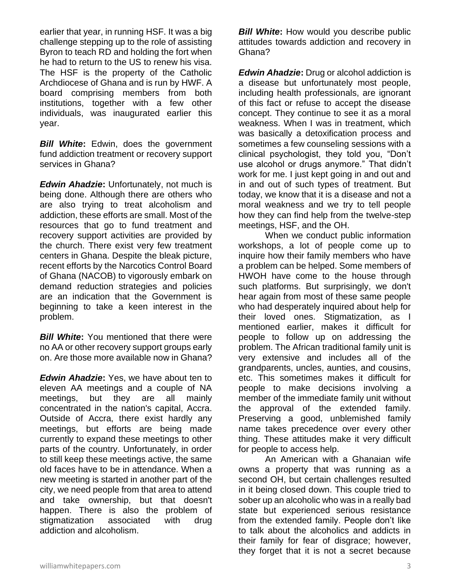earlier that year, in running HSF. It was a big challenge stepping up to the role of assisting Byron to teach RD and holding the fort when he had to return to the US to renew his visa. The HSF is the property of the Catholic Archdiocese of Ghana and is run by HWF. A board comprising members from both institutions, together with a few other individuals, was inaugurated earlier this year.

*Bill White***:** Edwin, does the government fund addiction treatment or recovery support services in Ghana?

*Edwin Ahadzie***:** Unfortunately, not much is being done. Although there are others who are also trying to treat alcoholism and addiction, these efforts are small. Most of the resources that go to fund treatment and recovery support activities are provided by the church. There exist very few treatment centers in Ghana. Despite the bleak picture, recent efforts by the Narcotics Control Board of Ghana (NACOB) to vigorously embark on demand reduction strategies and policies are an indication that the Government is beginning to take a keen interest in the problem.

*Bill White***:** You mentioned that there were no AA or other recovery support groups early on. Are those more available now in Ghana?

*Edwin Ahadzie***:** Yes, we have about ten to eleven AA meetings and a couple of NA meetings, but they are all mainly concentrated in the nation's capital, Accra. Outside of Accra, there exist hardly any meetings, but efforts are being made currently to expand these meetings to other parts of the country. Unfortunately, in order to still keep these meetings active, the same old faces have to be in attendance. When a new meeting is started in another part of the city, we need people from that area to attend and take ownership, but that doesn't happen. There is also the problem of stigmatization associated with drug addiction and alcoholism.

**Bill White:** How would you describe public attitudes towards addiction and recovery in Ghana?

*Edwin Ahadzie***:** Drug or alcohol addiction is a disease but unfortunately most people, including health professionals, are ignorant of this fact or refuse to accept the disease concept. They continue to see it as a moral weakness. When I was in treatment, which was basically a detoxification process and sometimes a few counseling sessions with a clinical psychologist, they told you, "Don't use alcohol or drugs anymore." That didn't work for me. I just kept going in and out and in and out of such types of treatment. But today, we know that it is a disease and not a moral weakness and we try to tell people how they can find help from the twelve-step meetings, HSF, and the OH.

When we conduct public information workshops, a lot of people come up to inquire how their family members who have a problem can be helped. Some members of HWOH have come to the house through such platforms. But surprisingly, we don't hear again from most of these same people who had desperately inquired about help for their loved ones. Stigmatization, as I mentioned earlier, makes it difficult for people to follow up on addressing the problem. The African traditional family unit is very extensive and includes all of the grandparents, uncles, aunties, and cousins, etc. This sometimes makes it difficult for people to make decisions involving a member of the immediate family unit without the approval of the extended family. Preserving a good, unblemished family name takes precedence over every other thing. These attitudes make it very difficult for people to access help.

An American with a Ghanaian wife owns a property that was running as a second OH, but certain challenges resulted in it being closed down. This couple tried to sober up an alcoholic who was in a really bad state but experienced serious resistance from the extended family. People don't like to talk about the alcoholics and addicts in their family for fear of disgrace; however, they forget that it is not a secret because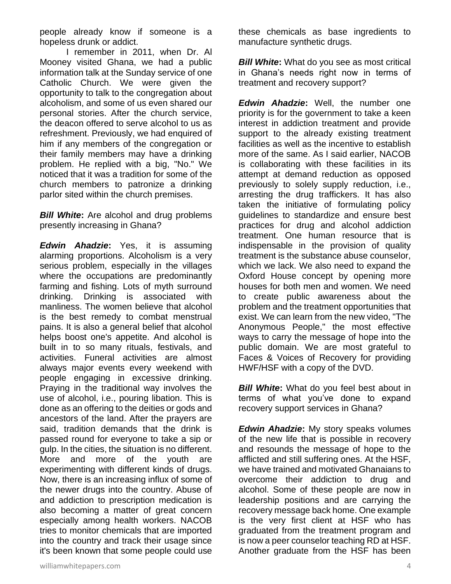people already know if someone is a hopeless drunk or addict.

I remember in 2011, when Dr. Al Mooney visited Ghana, we had a public information talk at the Sunday service of one Catholic Church. We were given the opportunity to talk to the congregation about alcoholism, and some of us even shared our personal stories. After the church service, the deacon offered to serve alcohol to us as refreshment. Previously, we had enquired of him if any members of the congregation or their family members may have a drinking problem. He replied with a big, "No." We noticed that it was a tradition for some of the church members to patronize a drinking parlor sited within the church premises.

*Bill White***:** Are alcohol and drug problems presently increasing in Ghana?

*Edwin Ahadzie***:** Yes, it is assuming alarming proportions. Alcoholism is a very serious problem, especially in the villages where the occupations are predominantly farming and fishing. Lots of myth surround drinking. Drinking is associated with manliness. The women believe that alcohol is the best remedy to combat menstrual pains. It is also a general belief that alcohol helps boost one's appetite. And alcohol is built in to so many rituals, festivals, and activities. Funeral activities are almost always major events every weekend with people engaging in excessive drinking. Praying in the traditional way involves the use of alcohol, i.e., pouring libation. This is done as an offering to the deities or gods and ancestors of the land. After the prayers are said, tradition demands that the drink is passed round for everyone to take a sip or gulp. In the cities, the situation is no different. More and more of the youth are experimenting with different kinds of drugs. Now, there is an increasing influx of some of the newer drugs into the country. Abuse of and addiction to prescription medication is also becoming a matter of great concern especially among health workers. NACOB tries to monitor chemicals that are imported into the country and track their usage since it's been known that some people could use

these chemicals as base ingredients to manufacture synthetic drugs.

*Bill White:* What do you see as most critical in Ghana's needs right now in terms of treatment and recovery support?

*Edwin Ahadzie***:** Well, the number one priority is for the government to take a keen interest in addiction treatment and provide support to the already existing treatment facilities as well as the incentive to establish more of the same. As I said earlier, NACOB is collaborating with these facilities in its attempt at demand reduction as opposed previously to solely supply reduction, i.e., arresting the drug traffickers. It has also taken the initiative of formulating policy guidelines to standardize and ensure best practices for drug and alcohol addiction treatment. One human resource that is indispensable in the provision of quality treatment is the substance abuse counselor, which we lack. We also need to expand the Oxford House concept by opening more houses for both men and women. We need to create public awareness about the problem and the treatment opportunities that exist. We can learn from the new video, "The Anonymous People," the most effective ways to carry the message of hope into the public domain. We are most grateful to Faces & Voices of Recovery for providing HWF/HSF with a copy of the DVD.

*Bill White***:** What do you feel best about in terms of what you've done to expand recovery support services in Ghana?

*Edwin Ahadzie***:** My story speaks volumes of the new life that is possible in recovery and resounds the message of hope to the afflicted and still suffering ones. At the HSF, we have trained and motivated Ghanaians to overcome their addiction to drug and alcohol. Some of these people are now in leadership positions and are carrying the recovery message back home. One example is the very first client at HSF who has graduated from the treatment program and is now a peer counselor teaching RD at HSF. Another graduate from the HSF has been